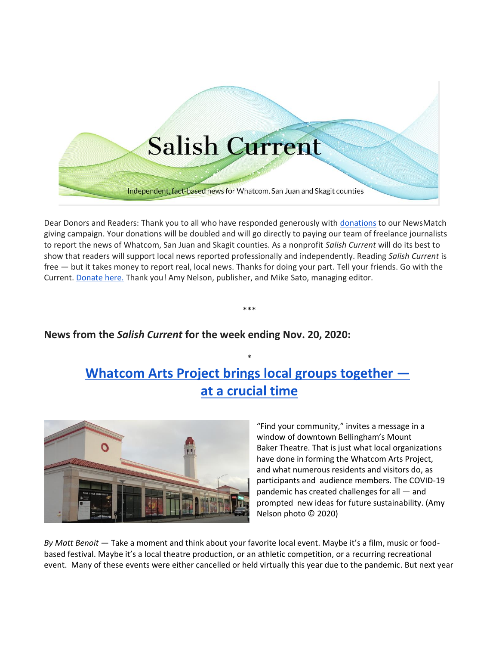# **Salish Current**

Independent, fact-based news for Whatcom, San Juan and Skagit counties

Dear Donors and Readers: Thank you to all who have responded generously with [donations](https://salish-current.org/donate/) to our NewsMatch giving campaign. Your donations will be doubled and will go directly to paying our team of freelance journalists to report the news of Whatcom, San Juan and Skagit counties. As a nonprofit *Salish Current* will do its best to show that readers will support local news reported professionally and independently. Reading *Salish Current* is free — but it takes money to report real, local news. Thanks for doing your part. Tell your friends. Go with the Current. [Donate here.](https://salish-current.org/donate/) Thank you! Amy Nelson, publisher, and Mike Sato, managing editor.

\*\*\*

# **News from the** *Salish Current* **for the week ending Nov. 20, 2020:**

# **[Whatcom Arts Project brings local groups together](https://salish-current.org/2020/11/20/whatcom-arts-project-brings-local-groups-together-at-a-crucial-time/)  [at a crucial time](https://salish-current.org/2020/11/20/whatcom-arts-project-brings-local-groups-together-at-a-crucial-time/)**

\*



"Find your community," invites a message in a window of downtown Bellingham's Mount Baker Theatre. That is just what local organizations have done in forming the Whatcom Arts Project, and what numerous residents and visitors do, as participants and audience members. The COVID-19 pandemic has created challenges for all — and prompted new ideas for future sustainability. (Amy Nelson photo © 2020)

*By Matt Benoit* — Take a moment and think about your favorite local event. Maybe it's a film, music or foodbased festival. Maybe it's a local theatre production, or an athletic competition, or a recurring recreational event. Many of these events were either cancelled or held virtually this year due to the pandemic. But next year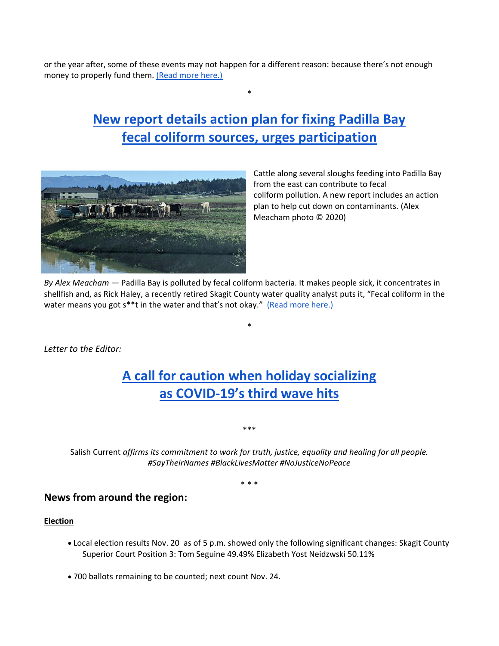or the year after, some of these events may not happen for a different reason: because there's not enough money to properly fund them. [\(Read more here.\)](https://salish-current.org/2020/11/20/whatcom-arts-project-brings-local-groups-together-at-a-crucial-time/)

# **[New report details action plan for fixing Padilla Bay](https://salish-current.org/2020/11/20/new-report-details-action-plan-for-fixing-padilla-bay-fecal-coliform-sources-urges-participation/) [fecal coliform sources, urges participation](https://salish-current.org/2020/11/20/new-report-details-action-plan-for-fixing-padilla-bay-fecal-coliform-sources-urges-participation/)**

\*



Cattle along several sloughs feeding into Padilla Bay from the east can contribute to fecal coliform pollution. A new report includes an action plan to help cut down on contaminants. (Alex Meacham photo © 2020)

*By Alex Meacham* — Padilla Bay is polluted by fecal coliform bacteria. It makes people sick, it concentrates in shellfish and, as Rick Haley, a recently retired Skagit County water quality analyst puts it, "Fecal coliform in the water means you got s\*\*t in the water and that's not okay." [\(Read more here.\)](https://salish-current.org/2020/11/20/new-report-details-action-plan-for-fixing-padilla-bay-fecal-coliform-sources-urges-participation/)

\*

*Letter to the Editor:*

# **[A call for caution when holiday socializing](https://salish-current.org/letters-to-the-editor/) as COVID-[19's third wave hits](https://salish-current.org/letters-to-the-editor/)**

\*\*\*

Salish Current *affirms its commitment to work for truth, justice, equality and healing for all people. #SayTheirNames #BlackLivesMatter #NoJusticeNoPeace*

\* \* \*

## **News from around the region:**

#### **Election**

- Local election results Nov. 20 as of 5 p.m. showed only the following significant changes: Skagit County Superior Court Position 3: Tom Seguine 49.49% Elizabeth Yost Neidzwski 50.11%
- 700 ballots remaining to be counted; next count Nov. 24.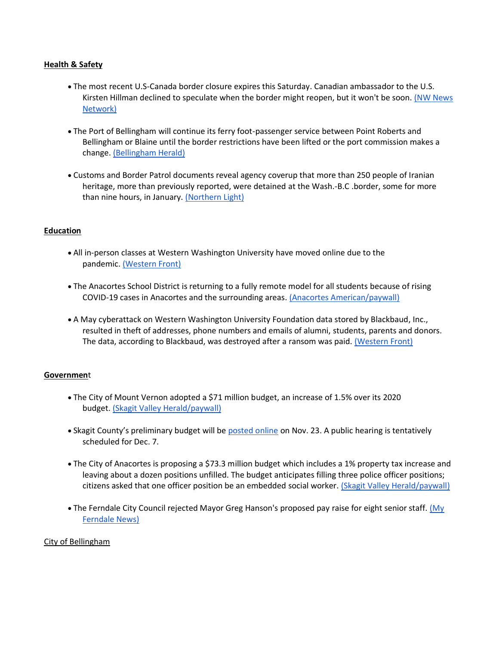#### **Health & Safety**

- The most recent U.S-Canada border closure expires this Saturday. Canadian ambassador to the U.S. Kirsten Hillman declined to speculate when the border might reopen, but it won't be soon. (NW News [Network\)](https://kuow.org/stories/u-s-canada-border-closure-likely-to-be-with-us-for-a-while)
- The Port of Bellingham will continue its ferry foot-passenger service between Point Roberts and Bellingham or Blaine until the border restrictions have been lifted or the port commission makes a change. [\(Bellingham Herald\)](https://www.bellinghamherald.com/news/business/article247132276.html)
- Customs and Border Patrol documents reveal agency coverup that more than 250 people of Iranian heritage, more than previously reported, were detained at the Wash.-B.C .border, some for more than nine hours, in January. [\(Northern Light\)](https://www.thenorthernlight.com/stories/cbp-leadership-allegedly-detained-more-iranian-travelers-than-thought-covered-up-actions,11949?)

#### **Education**

- All in-person classes at Western Washington University have moved online due to the pandemic. [\(Western Front\)](https://www.westernfrontonline.com/2020/11/18/online-classes/)
- The Anacortes School District is returning to a fully remote model for all students because of rising COVID-19 cases in Anacortes and the surrounding areas. [\(Anacortes American/paywall\)](https://www.goskagit.com/anacortes/news/anacortes-returning-to-fully-remote-learning/article_054e30f0-2ae2-11eb-97c2-6f7328b175a1.html)
- A May cyberattack on Western Washington University Foundation data stored by Blackbaud, Inc., resulted in theft of addresses, phone numbers and emails of alumni, students, parents and donors. The data, according to Blackbaud, was destroyed after a ransom was paid. [\(Western Front\)](https://www.westernfrontonline.com/2020/11/17/data-breach/)

#### **Governmen**t

- The City of Mount Vernon adopted a \$71 million budget, an increase of 1.5% over its 2020 budget. [\(Skagit Valley Herald/paywall\)](https://www.goskagit.com/news/local_news/mount-vernon-city-council-approves-citys-2021-budget/article_b002ff1f-f231-5c91-915d-9ffb2b5dd771.html)
- Skagit County's preliminary budget will be [posted online](https://www.skagitcounty.net/Departments/BudgetFinance/main.htm) on Nov. 23. A public hearing is tentatively scheduled for Dec. 7.
- The City of Anacortes is proposing a \$73.3 million budget which includes a 1% property tax increase and leaving about a dozen positions unfilled. The budget anticipates filling three police officer positions; citizens asked that one officer position be an embedded social worker. [\(Skagit Valley Herald/paywall\)](https://www.goskagit.com/news/local_news/anacortes-reviews-2021-budget-plans-to-leave-12-positions-vacant/article_6a2bca57-21c2-53e8-bc2d-b7a154416a49.html)
- The Ferndale City Council rejected Mayor Greg Hanson's proposed pay raise for eight senior staff. (My [Ferndale News\)](https://myferndalenews.com/council-rejects-mayors-request-for-senior-staff-raises_109802/)

#### City of Bellingham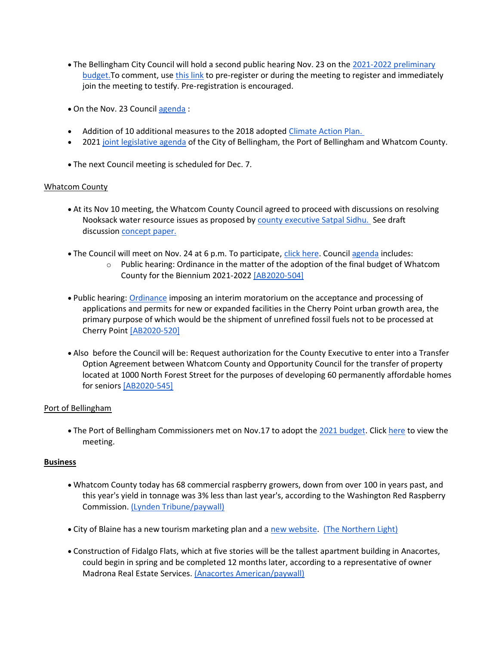- The Bellingham City Council will hold a second public hearing Nov. 23 on the [2021-2022 preliminary](https://cob.org/wp-content/uploads/2021-22-Preliminary-Budget.pdf)  budget. To comment, use [this link](https://www.cob.org/cc112320) to pre-register or during the meeting to register and immediately join the meeting to testify. Pre-registration is encouraged.
- On the Nov. 23 Council [agenda](https://meetings.cob.org/Meetings/ViewMeeting?id=2293&doctype=1) :
- Addition of 10 additional measures to the 2018 adopted [Climate Action Plan.](https://meetings.cob.org/Documents/ViewDocument/Attachment%20-%20CLIMATE%20ACTION_CAP_RESOLUTION%20-%20AB_%2022505.pdf?meetingId=2311&documentType=Agenda&itemId=16886&publishId=18558&isSection=false)
- 2021 [joint legislative agenda](https://meetings.cob.org/Documents/ViewDocument/Attachment%20-%202021%20LEGISLATIVE%20OBJECTIVES%20-%20AB_%2022823.pdf?meetingId=2323&documentType=Agenda&itemId=17052&publishId=18562&isSection=false) of the City of Bellingham, the Port of Bellingham and Whatcom County.
- The next Council meeting is scheduled for Dec. 7.

## Whatcom County

- At its Nov 10 meeting, the Whatcom County Council agreed to proceed with discussions on resolving Nooksack water resource issues as proposed by [county executive Satpal Sidhu.](https://drive.google.com/file/d/1coAo0KHt-nVLqKXTbSeCiHlXjWGiSs-f/view) See draft discussion [concept paper.](https://whatcom.legistar.com/View.ashx?M=F&ID=8894313&GUID=5E4FE7C3-0840-41EA-B196-F73E2D430B18)
- The Council will meet on Nov. 24 at 6 p.m. To participate, [click here.](https://whatcom.legistar.com/LegislationDetail.aspx?ID=4699334&GUID=2254C15A-A676-433A-8D12-A3982F329B34) Council [agenda](https://whatcom.legistar.com/View.ashx?M=A&ID=735082&GUID=587D755D-8C70-4EF7-9524-75B6CF0FDBAA) includes:
	- o Public hearing: Ordinance in the matter of the adoption of the final budget of Whatcom County for the Biennium 2021-2022 [\[AB2020-504\]](https://whatcom.legistar.com/LegislationDetail.aspx?ID=4685681&GUID=26EC516F-02F5-4208-A537-888246B16A73)
- Public hearing: [Ordinance](https://whatcom.legistar.com/View.ashx?M=F&ID=8890926&GUID=78336D77-BA81-46BC-B95C-55FAB624CB01) imposing an interim moratorium on the acceptance and processing of applications and permits for new or expanded facilities in the Cherry Point urban growth area, the primary purpose of which would be the shipment of unrefined fossil fuels not to be processed at Cherry Point [\[AB2020-520\]](https://whatcom.legistar.com/LegislationDetail.aspx?ID=4683673&GUID=80830812-7277-4763-B00F-E68757A4CE04)
- Also before the Council will be: Request authorization for the County Executive to enter into a Transfer Option Agreement between Whatcom County and Opportunity Council for the transfer of property located at 1000 North Forest Street for the purposes of developing 60 permanently affordable homes for seniors [\[AB2020-545\]](https://whatcom.legistar.com/LegislationDetail.aspx?ID=4699334&GUID=2254C15A-A676-433A-8D12-A3982F329B34)

## Port of Bellingham

• The Port of Bellingham Commissioners met on Nov.17 to adopt the [2021 budget.](https://www.portofbellingham.com/18/Finance) Click [here](https://www.youtube.com/watch?v=9AD-kfWbF08) to view the meeting.

## **Business**

- Whatcom County today has 68 commercial raspberry growers, down from over 100 in years past, and this year's yield in tonnage was 3% less than last year's, according to the Washington Red Raspberry Commission. [\(Lynden Tribune/paywall\)](https://www.lyndentribune.com/news/raspberry-tonnage-drops-3-in-2020/article_a7692c38-293d-11eb-9328-67d5d467a4fb.html)
- City of Blaine has a new tourism marketing plan and a [new website.](https://blainebythesea.com/) [\(The Northern Light\)](https://www.thenorthernlight.com/stories/city-of-blaine-launches-new-tourism-website,11912?)
- Construction of Fidalgo Flats, which at five stories will be the tallest apartment building in Anacortes, could begin in spring and be completed 12 months later, according to a representative of owner Madrona Real Estate Services. [\(Anacortes American/paywall\)](https://www.goskagit.com/anacortes/news/fidalgo-flats-construction-could-begin-in-spring/article_18f84b98-29b3-11eb-9a9a-4b3b235e8f25.html)